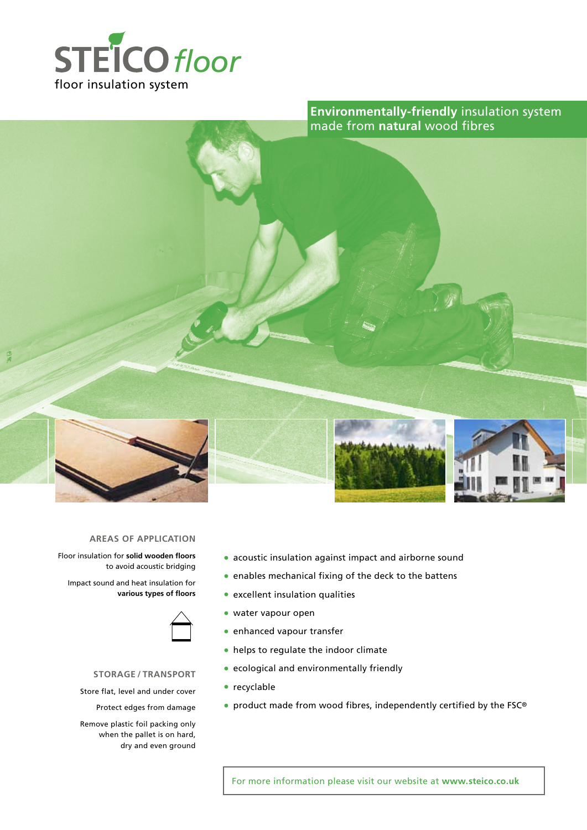

**Environmentally-friendly** insulation system made from **natural** wood fibres



### **AREAS of application**

Floor insulation for **solid wooden floors**  to avoid acoustic bridging

Impact sound and heat insulation for **various types of floors**



## **storage / Transport**

Store flat, level and under cover

Protect edges from damage

Remove plastic foil packing only when the pallet is on hard, dry and even ground

- acoustic insulation against impact and airborne sound
- enables mechanical fixing of the deck to the battens
- excellent insulation qualities
- water vapour open
- enhanced vapour transfer
- helps to regulate the indoor climate
- ecological and environmentally friendly
- recyclable
- product made from wood fibres, independently certified by the FSC®

For more information please visit our website at **www.steico.co.uk**